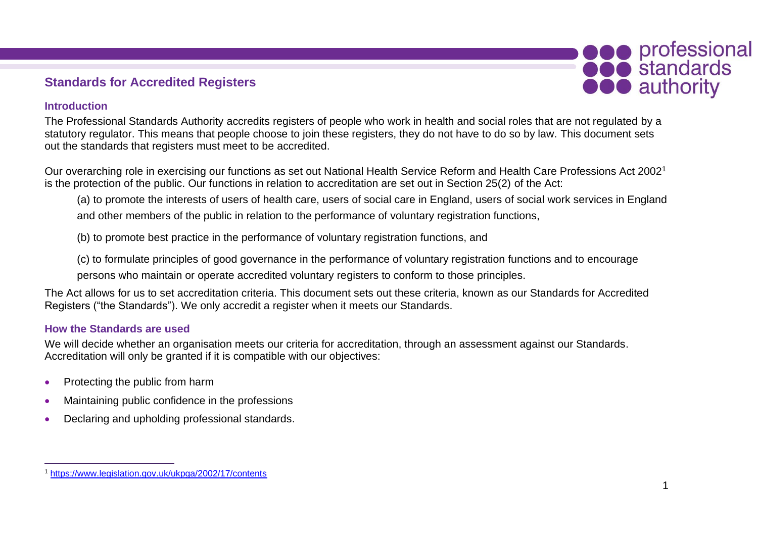## **Standards for Accredited Registers**

## **Introduction**

The Professional Standards Authority accredits registers of people who work in health and social roles that are not regulated by a statutory regulator. This means that people choose to join these registers, they do not have to do so by law. This document sets out the standards that registers must meet to be accredited.

Our overarching role in exercising our functions as set out National Health Service Reform and Health Care Professions Act 2002<sup>1</sup> is the protection of the public. Our functions in relation to accreditation are set out in Section 25(2) of the Act:

(a) to promote the interests of users of health care, users of social care in England, users of social work services in England and other members of the public in relation to the performance of voluntary registration functions,

(b) to promote best practice in the performance of voluntary registration functions, and

(c) to formulate principles of good governance in the performance of voluntary registration functions and to encourage persons who maintain or operate accredited voluntary registers to conform to those principles.

The Act allows for us to set accreditation criteria. This document sets out these criteria, known as our Standards for Accredited Registers ("the Standards"). We only accredit a register when it meets our Standards.

## **How the Standards are used**

We will decide whether an organisation meets our criteria for accreditation, through an assessment against our Standards. Accreditation will only be granted if it is compatible with our objectives:

- Protecting the public from harm
- Maintaining public confidence in the professions
- Declaring and upholding professional standards.

**OCO** professional

**OOO** authority

<sup>1</sup> https://www.legislation.gov.uk/ukpga/2002/17/contents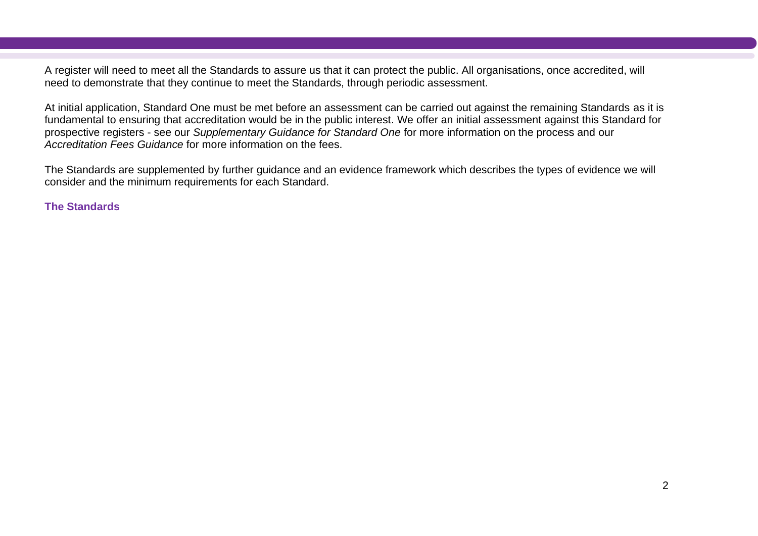A register will need to meet all the Standards to assure us that it can protect the public. All organisations, once accredited, will need to demonstrate that they continue to meet the Standards, through periodic assessment.

At initial application, Standard One must be met before an assessment can be carried out against the remaining Standards as it is fundamental to ensuring that accreditation would be in the public interest. We offer an initial assessment against this Standard for prospective registers - see our *Supplementary Guidance for Standard One* for more information on the process and our *Accreditation Fees Guidance* for more information on the fees.

The Standards are supplemented by further guidance and an evidence framework which describes the types of evidence we will consider and the minimum requirements for each Standard.

**The Standards**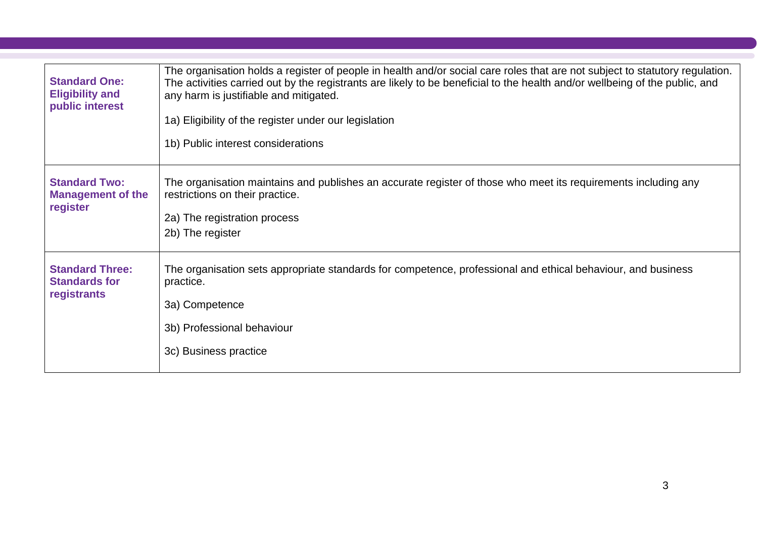| <b>Standard One:</b><br><b>Eligibility and</b><br>public interest | The organisation holds a register of people in health and/or social care roles that are not subject to statutory regulation.<br>The activities carried out by the registrants are likely to be beneficial to the health and/or wellbeing of the public, and<br>any harm is justifiable and mitigated.<br>1a) Eligibility of the register under our legislation<br>1b) Public interest considerations |
|-------------------------------------------------------------------|------------------------------------------------------------------------------------------------------------------------------------------------------------------------------------------------------------------------------------------------------------------------------------------------------------------------------------------------------------------------------------------------------|
| <b>Standard Two:</b><br><b>Management of the</b><br>register      | The organisation maintains and publishes an accurate register of those who meet its requirements including any<br>restrictions on their practice.<br>2a) The registration process<br>2b) The register                                                                                                                                                                                                |
| <b>Standard Three:</b><br><b>Standards for</b><br>registrants     | The organisation sets appropriate standards for competence, professional and ethical behaviour, and business<br>practice.<br>3a) Competence<br>3b) Professional behaviour<br>3c) Business practice                                                                                                                                                                                                   |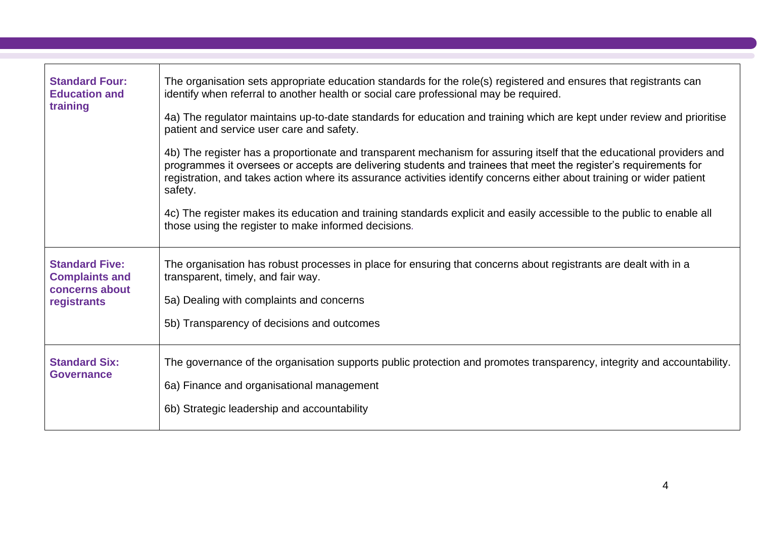| <b>Standard Four:</b><br><b>Education and</b><br>training                       | The organisation sets appropriate education standards for the role(s) registered and ensures that registrants can<br>identify when referral to another health or social care professional may be required.<br>4a) The regulator maintains up-to-date standards for education and training which are kept under review and prioritise<br>patient and service user care and safety.<br>4b) The register has a proportionate and transparent mechanism for assuring itself that the educational providers and<br>programmes it oversees or accepts are delivering students and trainees that meet the register's requirements for<br>registration, and takes action where its assurance activities identify concerns either about training or wider patient<br>safety.<br>4c) The register makes its education and training standards explicit and easily accessible to the public to enable all<br>those using the register to make informed decisions. |
|---------------------------------------------------------------------------------|-------------------------------------------------------------------------------------------------------------------------------------------------------------------------------------------------------------------------------------------------------------------------------------------------------------------------------------------------------------------------------------------------------------------------------------------------------------------------------------------------------------------------------------------------------------------------------------------------------------------------------------------------------------------------------------------------------------------------------------------------------------------------------------------------------------------------------------------------------------------------------------------------------------------------------------------------------|
| <b>Standard Five:</b><br><b>Complaints and</b><br>concerns about<br>registrants | The organisation has robust processes in place for ensuring that concerns about registrants are dealt with in a<br>transparent, timely, and fair way.<br>5a) Dealing with complaints and concerns<br>5b) Transparency of decisions and outcomes                                                                                                                                                                                                                                                                                                                                                                                                                                                                                                                                                                                                                                                                                                       |
| <b>Standard Six:</b><br><b>Governance</b>                                       | The governance of the organisation supports public protection and promotes transparency, integrity and accountability.<br>6a) Finance and organisational management<br>6b) Strategic leadership and accountability                                                                                                                                                                                                                                                                                                                                                                                                                                                                                                                                                                                                                                                                                                                                    |